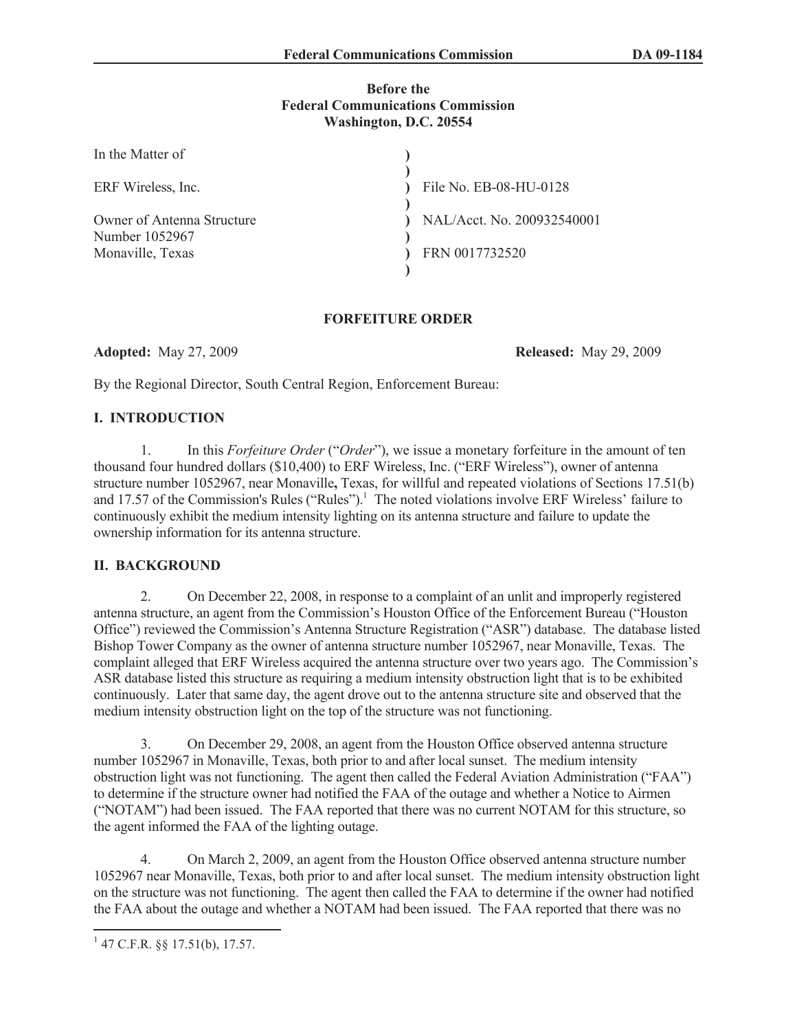#### **Before the Federal Communications Commission Washington, D.C. 20554**

| In the Matter of                             |                            |
|----------------------------------------------|----------------------------|
| ERF Wireless, Inc.                           | File No. EB-08-HU-0128     |
| Owner of Antenna Structure<br>Number 1052967 | NAL/Acct. No. 200932540001 |
| Monaville, Texas                             | FRN 0017732520             |
|                                              |                            |

## **FORFEITURE ORDER**

**Adopted:** May 27, 2009 **Released:** May 29, 2009

By the Regional Director, South Central Region, Enforcement Bureau:

## **I. INTRODUCTION**

1. In this *Forfeiture Order* ("*Order*"), we issue a monetary forfeiture in the amount of ten thousand four hundred dollars (\$10,400) to ERF Wireless, Inc. ("ERF Wireless"), owner of antenna structure number 1052967, near Monaville**,** Texas, for willful and repeated violations of Sections 17.51(b) and 17.57 of the Commission's Rules ("Rules").<sup>1</sup> The noted violations involve ERF Wireless' failure to continuously exhibit the medium intensity lighting on its antenna structure and failure to update the ownership information for its antenna structure.

# **II. BACKGROUND**

2. On December 22, 2008, in response to a complaint of an unlit and improperly registered antenna structure, an agent from the Commission's Houston Office of the Enforcement Bureau ("Houston Office") reviewed the Commission's Antenna Structure Registration ("ASR") database. The database listed Bishop Tower Company as the owner of antenna structure number 1052967, near Monaville, Texas. The complaint alleged that ERF Wireless acquired the antenna structure over two years ago. The Commission's ASR database listed this structure as requiring a medium intensity obstruction light that is to be exhibited continuously. Later that same day, the agent drove out to the antenna structure site and observed that the medium intensity obstruction light on the top of the structure was not functioning.

3. On December 29, 2008, an agent from the Houston Office observed antenna structure number 1052967 in Monaville, Texas, both prior to and after local sunset. The medium intensity obstruction light was not functioning. The agent then called the Federal Aviation Administration ("FAA") to determine if the structure owner had notified the FAA of the outage and whether a Notice to Airmen ("NOTAM") had been issued. The FAA reported that there was no current NOTAM for this structure, so the agent informed the FAA of the lighting outage.

4. On March 2, 2009, an agent from the Houston Office observed antenna structure number 1052967 near Monaville, Texas, both prior to and after local sunset. The medium intensity obstruction light on the structure was not functioning. The agent then called the FAA to determine if the owner had notified the FAA about the outage and whether a NOTAM had been issued. The FAA reported that there was no

 $147$  C.F.R. §§ 17.51(b), 17.57.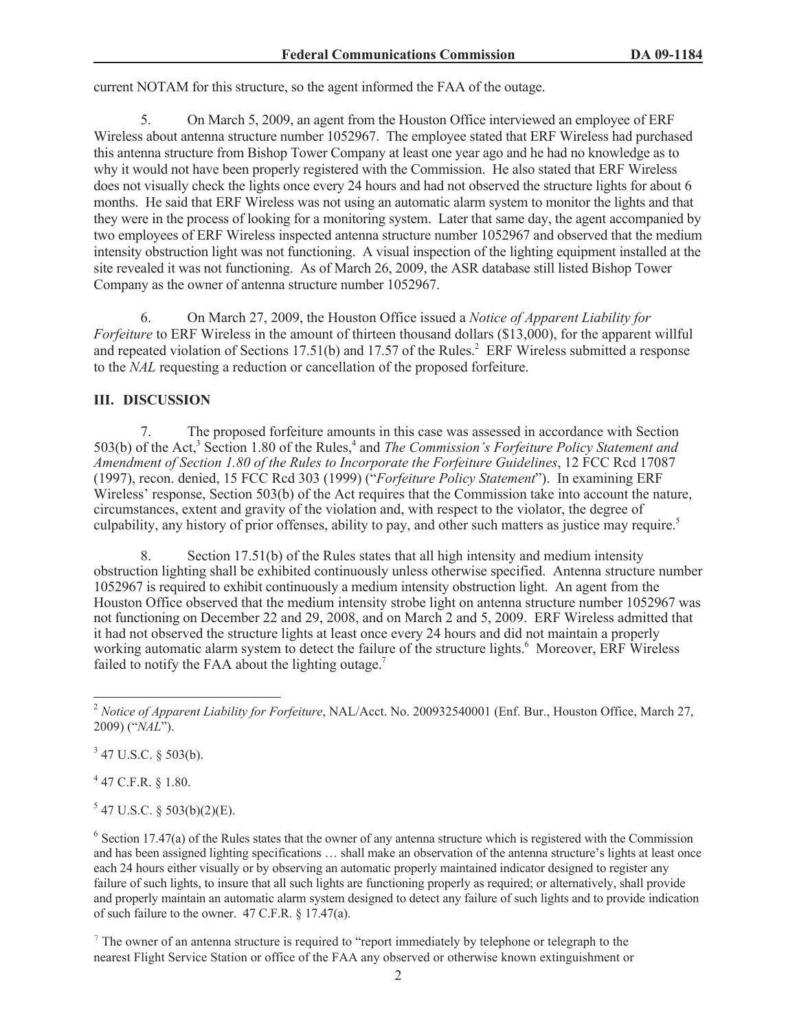current NOTAM for this structure, so the agent informed the FAA of the outage.

5. On March 5, 2009, an agent from the Houston Office interviewed an employee of ERF Wireless about antenna structure number 1052967. The employee stated that ERF Wireless had purchased this antenna structure from Bishop Tower Company at least one year ago and he had no knowledge as to why it would not have been properly registered with the Commission. He also stated that ERF Wireless does not visually check the lights once every 24 hours and had not observed the structure lights for about 6 months. He said that ERF Wireless was not using an automatic alarm system to monitor the lights and that they were in the process of looking for a monitoring system. Later that same day, the agent accompanied by two employees of ERF Wireless inspected antenna structure number 1052967 and observed that the medium intensity obstruction light was not functioning. A visual inspection of the lighting equipment installed at the site revealed it was not functioning. As of March 26, 2009, the ASR database still listed Bishop Tower Company as the owner of antenna structure number 1052967.

6. On March 27, 2009, the Houston Office issued a *Notice of Apparent Liability for Forfeiture* to ERF Wireless in the amount of thirteen thousand dollars (\$13,000), for the apparent willful and repeated violation of Sections 17.51(b) and 17.57 of the Rules.<sup>2</sup> ERF Wireless submitted a response to the *NAL* requesting a reduction or cancellation of the proposed forfeiture.

# **III. DISCUSSION**

7. The proposed forfeiture amounts in this case was assessed in accordance with Section 503(b) of the Act,<sup>3</sup> Section 1.80 of the Rules,<sup>4</sup> and *The Commission's Forfeiture Policy Statement and Amendment of Section 1.80 of the Rules to Incorporate the Forfeiture Guidelines*, 12 FCC Rcd 17087 (1997), recon. denied, 15 FCC Rcd 303 (1999) ("*Forfeiture Policy Statement*"). In examining ERF Wireless' response, Section 503(b) of the Act requires that the Commission take into account the nature, circumstances, extent and gravity of the violation and, with respect to the violator, the degree of culpability, any history of prior offenses, ability to pay, and other such matters as justice may require.<sup>5</sup>

8. Section 17.51(b) of the Rules states that all high intensity and medium intensity obstruction lighting shall be exhibited continuously unless otherwise specified. Antenna structure number 1052967 is required to exhibit continuously a medium intensity obstruction light. An agent from the Houston Office observed that the medium intensity strobe light on antenna structure number 1052967 was not functioning on December 22 and 29, 2008, and on March 2 and 5, 2009. ERF Wireless admitted that it had not observed the structure lights at least once every 24 hours and did not maintain a properly working automatic alarm system to detect the failure of the structure lights.<sup>6</sup> Moreover, ERF Wireless failed to notify the FAA about the lighting outage.<sup>7</sup>

 $3$  47 U.S.C. § 503(b).

 $447$  C.F.R. § 1.80.

 $5$  47 U.S.C. § 503(b)(2)(E).

 $6$  Section 17.47(a) of the Rules states that the owner of any antenna structure which is registered with the Commission and has been assigned lighting specifications … shall make an observation of the antenna structure's lights at least once each 24 hours either visually or by observing an automatic properly maintained indicator designed to register any failure of such lights, to insure that all such lights are functioning properly as required; or alternatively, shall provide and properly maintain an automatic alarm system designed to detect any failure of such lights and to provide indication of such failure to the owner. 47 C.F.R. § 17.47(a).

<sup>7</sup> The owner of an antenna structure is required to "report immediately by telephone or telegraph to the nearest Flight Service Station or office of the FAA any observed or otherwise known extinguishment or

<sup>2</sup> *Notice of Apparent Liability for Forfeiture*, NAL/Acct. No. 200932540001 (Enf. Bur., Houston Office, March 27, 2009) ("*NAL*").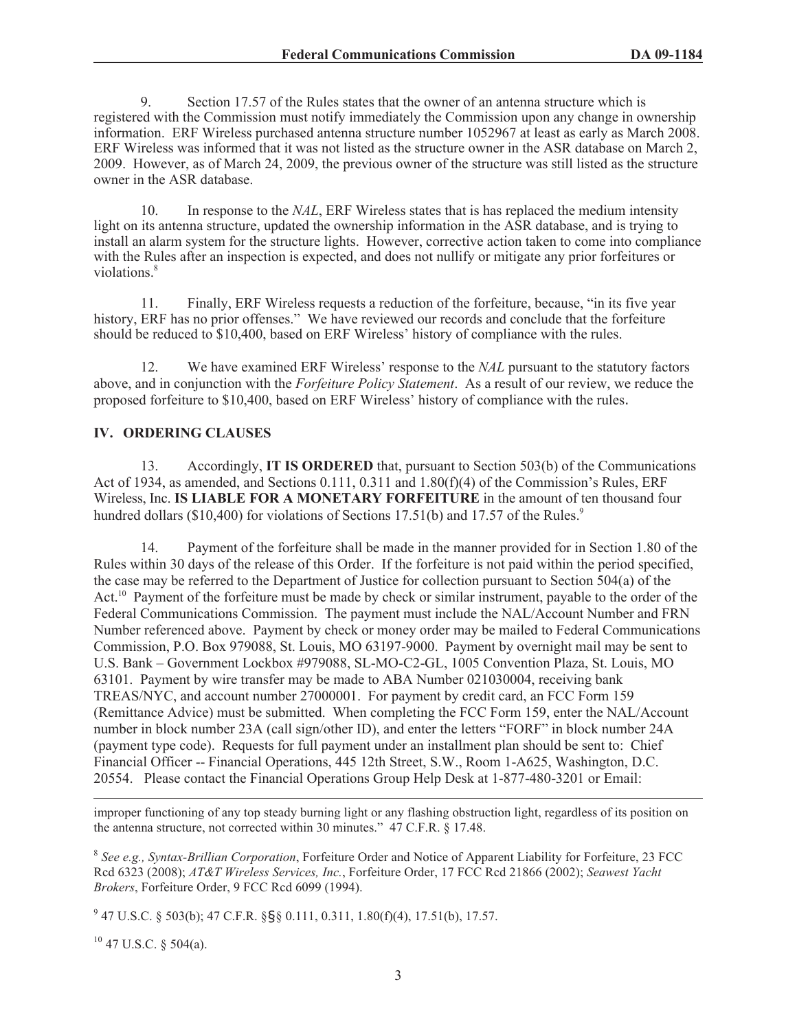9. Section 17.57 of the Rules states that the owner of an antenna structure which is registered with the Commission must notify immediately the Commission upon any change in ownership information. ERF Wireless purchased antenna structure number 1052967 at least as early as March 2008. ERF Wireless was informed that it was not listed as the structure owner in the ASR database on March 2, 2009. However, as of March 24, 2009, the previous owner of the structure was still listed as the structure owner in the ASR database.

10. In response to the *NAL*, ERF Wireless states that is has replaced the medium intensity light on its antenna structure, updated the ownership information in the ASR database, and is trying to install an alarm system for the structure lights. However, corrective action taken to come into compliance with the Rules after an inspection is expected, and does not nullify or mitigate any prior forfeitures or violations.<sup>8</sup>

11. Finally, ERF Wireless requests a reduction of the forfeiture, because, "in its five year history, ERF has no prior offenses." We have reviewed our records and conclude that the forfeiture should be reduced to \$10,400, based on ERF Wireless' history of compliance with the rules.

12. We have examined ERF Wireless' response to the *NAL* pursuant to the statutory factors above, and in conjunction with the *Forfeiture Policy Statement*. As a result of our review, we reduce the proposed forfeiture to \$10,400, based on ERF Wireless' history of compliance with the rules.

## **IV. ORDERING CLAUSES**

13. Accordingly, **IT IS ORDERED** that, pursuant to Section 503(b) of the Communications Act of 1934, as amended, and Sections 0.111, 0.311 and 1.80(f)(4) of the Commission's Rules, ERF Wireless, Inc. **IS LIABLE FOR A MONETARY FORFEITURE** in the amount of ten thousand four hundred dollars (\$10,400) for violations of Sections 17.51(b) and 17.57 of the Rules.<sup>9</sup>

14. Payment of the forfeiture shall be made in the manner provided for in Section 1.80 of the Rules within 30 days of the release of this Order. If the forfeiture is not paid within the period specified, the case may be referred to the Department of Justice for collection pursuant to Section 504(a) of the Act.<sup>10</sup> Payment of the forfeiture must be made by check or similar instrument, payable to the order of the Federal Communications Commission. The payment must include the NAL/Account Number and FRN Number referenced above. Payment by check or money order may be mailed to Federal Communications Commission, P.O. Box 979088, St. Louis, MO 63197-9000. Payment by overnight mail may be sent to U.S. Bank – Government Lockbox #979088, SL-MO-C2-GL, 1005 Convention Plaza, St. Louis, MO 63101. Payment by wire transfer may be made to ABA Number 021030004, receiving bank TREAS/NYC, and account number 27000001. For payment by credit card, an FCC Form 159 (Remittance Advice) must be submitted. When completing the FCC Form 159, enter the NAL/Account number in block number 23A (call sign/other ID), and enter the letters "FORF" in block number 24A (payment type code). Requests for full payment under an installment plan should be sent to: Chief Financial Officer -- Financial Operations, 445 12th Street, S.W., Room 1-A625, Washington, D.C. 20554. Please contact the Financial Operations Group Help Desk at 1-877-480-3201 or Email:

improper functioning of any top steady burning light or any flashing obstruction light, regardless of its position on the antenna structure, not corrected within 30 minutes." 47 C.F.R. § 17.48.

8 *See e.g., Syntax-Brillian Corporation*, Forfeiture Order and Notice of Apparent Liability for Forfeiture, 23 FCC Rcd 6323 (2008); *AT&T Wireless Services, Inc.*, Forfeiture Order, 17 FCC Rcd 21866 (2002); *Seawest Yacht Brokers*, Forfeiture Order, 9 FCC Rcd 6099 (1994).

9 47 U.S.C. § 503(b); 47 C.F.R. §§§ 0.111, 0.311, 1.80(f)(4), 17.51(b), 17.57.

 $10$  47 U.S.C. § 504(a).